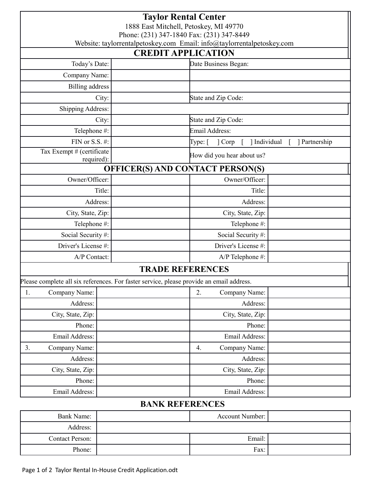| <b>Taylor Rental Center</b><br>1888 East Mitchell, Petoskey, MI 49770<br>Phone: (231) 347-1840 Fax: (231) 347-8449<br>Website: taylorrentalpetoskey.com Email: info@taylorrentalpetoskey.com |                                         |                            |                           |  |
|----------------------------------------------------------------------------------------------------------------------------------------------------------------------------------------------|-----------------------------------------|----------------------------|---------------------------|--|
| <b>CREDIT APPLICATION</b>                                                                                                                                                                    |                                         |                            |                           |  |
| Today's Date:                                                                                                                                                                                |                                         | Date Business Began:       |                           |  |
| Company Name:                                                                                                                                                                                |                                         |                            |                           |  |
| <b>Billing</b> address                                                                                                                                                                       |                                         |                            |                           |  |
| City:                                                                                                                                                                                        |                                         | State and Zip Code:        |                           |  |
| <b>Shipping Address:</b>                                                                                                                                                                     |                                         |                            |                           |  |
| City:                                                                                                                                                                                        |                                         | State and Zip Code:        |                           |  |
| Telephone #:                                                                                                                                                                                 |                                         | Email Address:             |                           |  |
| FIN or S.S. $#$ :                                                                                                                                                                            |                                         | Type: [<br>] Corp          | Individual<br>Partnership |  |
| Tax Exempt # (certificate<br>required):                                                                                                                                                      |                                         | How did you hear about us? |                           |  |
|                                                                                                                                                                                              | <b>OFFICER(S) AND CONTACT PERSON(S)</b> |                            |                           |  |
| Owner/Officer:                                                                                                                                                                               |                                         | Owner/Officer:             |                           |  |
| Title:                                                                                                                                                                                       |                                         | Title:                     |                           |  |
| Address:                                                                                                                                                                                     |                                         | Address:                   |                           |  |
| City, State, Zip:                                                                                                                                                                            |                                         | City, State, Zip:          |                           |  |
| Telephone #:                                                                                                                                                                                 |                                         | Telephone #:               |                           |  |
| Social Security #:                                                                                                                                                                           |                                         | Social Security#:          |                           |  |
| Driver's License #:                                                                                                                                                                          |                                         | Driver's License #:        |                           |  |
| A/P Contact:                                                                                                                                                                                 |                                         | A/P Telephone #:           |                           |  |
| <b>TRADE REFERENCES</b>                                                                                                                                                                      |                                         |                            |                           |  |
| Please complete all six references. For faster service, please provide an email address.                                                                                                     |                                         |                            |                           |  |
| Company Name:<br>1.                                                                                                                                                                          |                                         | 2.<br>Company Name:        |                           |  |
| Address:                                                                                                                                                                                     |                                         | Address:                   |                           |  |
| City, State, Zip:                                                                                                                                                                            |                                         | City, State, Zip:          |                           |  |
| Phone:                                                                                                                                                                                       |                                         | Phone:                     |                           |  |
| Email Address:                                                                                                                                                                               |                                         | Email Address:             |                           |  |
| Company Name:<br>3.                                                                                                                                                                          |                                         | Company Name:<br>4.        |                           |  |
| Address:                                                                                                                                                                                     |                                         | Address:                   |                           |  |
| City, State, Zip:                                                                                                                                                                            |                                         | City, State, Zip:          |                           |  |
| Phone:                                                                                                                                                                                       |                                         | Phone:                     |                           |  |
| Email Address:                                                                                                                                                                               |                                         | Email Address:             |                           |  |
| <b>DANIZ DEEEDEMCES</b>                                                                                                                                                                      |                                         |                            |                           |  |

## **BANK REFERENCES**

| <b>Bank Name:</b>      | Account Number: |  |
|------------------------|-----------------|--|
| Address:               |                 |  |
| <b>Contact Person:</b> | Email:          |  |
| Phone:                 | Fax:            |  |